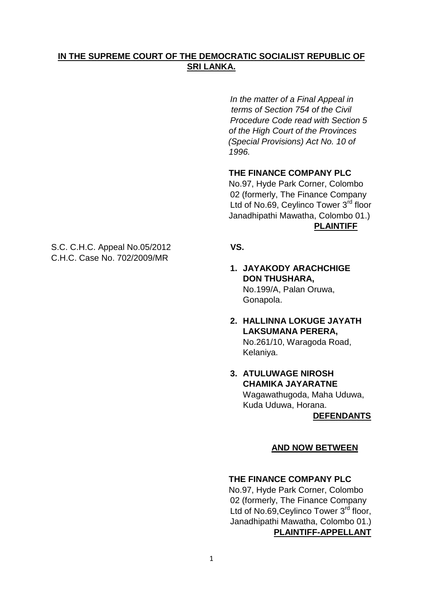# **IN THE SUPREME COURT OF THE DEMOCRATIC SOCIALIST REPUBLIC OF SRI LANKA.**

*In the matter of a Final Appeal in terms of Section 754 of the Civil Procedure Code read with Section 5 of the High Court of the Provinces (Special Provisions) Act No. 10 of 1996.* 

## **THE FINANCE COMPANY PLC**

No.97, Hyde Park Corner, Colombo 02 (formerly, The Finance Company Ltd of No.69, Ceylinco Tower 3<sup>rd</sup> floor Janadhipathi Mawatha, Colombo 01.) **PLAINTIFF**

- **1. JAYAKODY ARACHCHIGE DON THUSHARA,** No.199/A, Palan Oruwa, Gonapola.
- **2. HALLINNA LOKUGE JAYATH LAKSUMANA PERERA,** No.261/10, Waragoda Road, Kelaniya.
- **3. ATULUWAGE NIROSH CHAMIKA JAYARATNE** Wagawathugoda, Maha Uduwa, Kuda Uduwa, Horana.

 **DEFENDANTS**

## **AND NOW BETWEEN**

#### **THE FINANCE COMPANY PLC**

No.97, Hyde Park Corner, Colombo 02 (formerly, The Finance Company Ltd of No.69, Ceylinco Tower 3<sup>rd</sup> floor, Janadhipathi Mawatha, Colombo 01.) **PLAINTIFF-APPELLANT**

S.C. C.H.C. Appeal No.05/2012 **VS.**  C.H.C. Case No. 702/2009/MR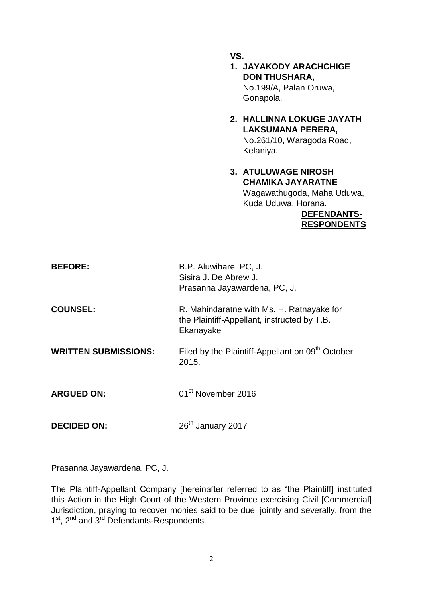**VS.**

- **1. JAYAKODY ARACHCHIGE DON THUSHARA,** No.199/A, Palan Oruwa, Gonapola.
- **2. HALLINNA LOKUGE JAYATH LAKSUMANA PERERA,** No.261/10, Waragoda Road, Kelaniya.
- **3. ATULUWAGE NIROSH CHAMIKA JAYARATNE** Wagawathugoda, Maha Uduwa, Kuda Uduwa, Horana.

#### **DEFENDANTS- RESPONDENTS**

| <b>BEFORE:</b>              | B.P. Aluwihare, PC, J.<br>Sisira J. De Abrew J.<br>Prasanna Jayawardena, PC, J.                       |
|-----------------------------|-------------------------------------------------------------------------------------------------------|
| <b>COUNSEL:</b>             | R. Mahindaratne with Ms. H. Ratnayake for<br>the Plaintiff-Appellant, instructed by T.B.<br>Ekanayake |
| <b>WRITTEN SUBMISSIONS:</b> | Filed by the Plaintiff-Appellant on 09 <sup>th</sup> October<br>2015.                                 |
| <b>ARGUED ON:</b>           | 01 <sup>st</sup> November 2016                                                                        |
| <b>DECIDED ON:</b>          | 26 <sup>th</sup> January 2017                                                                         |

Prasanna Jayawardena, PC, J.

The Plaintiff-Appellant Company [hereinafter referred to as "the Plaintiff] instituted this Action in the High Court of the Western Province exercising Civil [Commercial] Jurisdiction, praying to recover monies said to be due, jointly and severally, from the 1<sup>st</sup>, 2<sup>nd</sup> and 3<sup>rd</sup> Defendants-Respondents.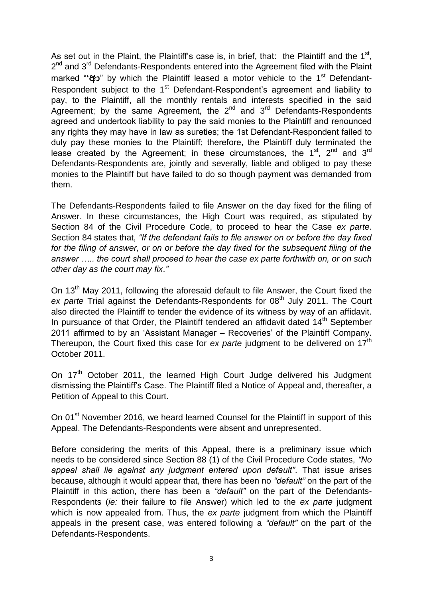As set out in the Plaint, the Plaintiff's case is, in brief, that: the Plaintiff and the  $1<sup>st</sup>$ , 2<sup>nd</sup> and 3<sup>rd</sup> Defendants-Respondents entered into the Agreement filed with the Plaint marked "**"ආ**" by which the Plaintiff leased a motor vehicle to the 1<sup>st</sup> Defendant-Respondent subject to the 1<sup>st</sup> Defendant-Respondent's agreement and liability to pay, to the Plaintiff, all the monthly rentals and interests specified in the said Agreement; by the same Agreement, the  $2^{nd}$  and  $3^{rd}$  Defendants-Respondents agreed and undertook liability to pay the said monies to the Plaintiff and renounced any rights they may have in law as sureties; the 1st Defendant-Respondent failed to duly pay these monies to the Plaintiff; therefore, the Plaintiff duly terminated the lease created by the Agreement; in these circumstances, the 1<sup>st</sup>, 2<sup>nd</sup> and 3<sup>rd</sup> Defendants-Respondents are, jointly and severally, liable and obliged to pay these monies to the Plaintiff but have failed to do so though payment was demanded from them.

The Defendants-Respondents failed to file Answer on the day fixed for the filing of Answer. In these circumstances, the High Court was required, as stipulated by Section 84 of the Civil Procedure Code, to proceed to hear the Case *ex parte*. Section 84 states that, *"If the defendant fails to file answer on or before the day fixed for the filing of answer, or on or before the day fixed for the subsequent filing of the answer ….. the court shall proceed to hear the case ex parte forthwith on, or on such other day as the court may fix*.*"*

On 13<sup>th</sup> May 2011, following the aforesaid default to file Answer, the Court fixed the ex parte Trial against the Defendants-Respondents for 08<sup>th</sup> July 2011. The Court also directed the Plaintiff to tender the evidence of its witness by way of an affidavit. In pursuance of that Order, the Plaintiff tendered an affidavit dated  $14<sup>th</sup>$  September 2011 affirmed to by an 'Assistant Manager – Recoveries' of the Plaintiff Company. Thereupon, the Court fixed this case for *ex parte* judgment to be delivered on 17<sup>th</sup> October 2011.

On 17<sup>th</sup> October 2011, the learned High Court Judge delivered his Judgment dismissing the Plaintiff's Case. The Plaintiff filed a Notice of Appeal and, thereafter, a Petition of Appeal to this Court.

On 01<sup>st</sup> November 2016, we heard learned Counsel for the Plaintiff in support of this Appeal. The Defendants-Respondents were absent and unrepresented.

Before considering the merits of this Appeal, there is a preliminary issue which needs to be considered since Section 88 (1) of the Civil Procedure Code states, *"No appeal shall lie against any judgment entered upon default"*. That issue arises because, although it would appear that, there has been no *"default"* on the part of the Plaintiff in this action, there has been a *"default"* on the part of the Defendants-Respondents (*ie:* their failure to file Answer) which led to the *ex parte* judgment which is now appealed from. Thus, the *ex parte* judgment from which the Plaintiff appeals in the present case, was entered following a *"default"* on the part of the Defendants-Respondents.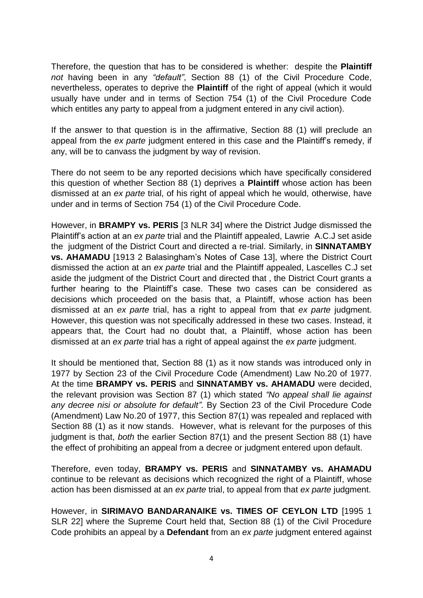Therefore, the question that has to be considered is whether: despite the **Plaintiff** *not* having been in any *"default"*, Section 88 (1) of the Civil Procedure Code, nevertheless, operates to deprive the **Plaintiff** of the right of appeal (which it would usually have under and in terms of Section 754 (1) of the Civil Procedure Code which entitles any party to appeal from a judgment entered in any civil action).

If the answer to that question is in the affirmative, Section 88 (1) will preclude an appeal from the *ex parte* judgment entered in this case and the Plaintiff's remedy, if any, will be to canvass the judgment by way of revision.

There do not seem to be any reported decisions which have specifically considered this question of whether Section 88 (1) deprives a **Plaintiff** whose action has been dismissed at an *ex parte* trial, of his right of appeal which he would, otherwise, have under and in terms of Section 754 (1) of the Civil Procedure Code.

However, in **BRAMPY vs. PERIS** [3 NLR 34] where the District Judge dismissed the Plaintiff's action at an *ex parte* trial and the Plaintiff appealed, Lawrie A.C.J set aside the judgment of the District Court and directed a re-trial. Similarly, in **SINNATAMBY vs. AHAMADU** [1913 2 Balasingham's Notes of Case 13], where the District Court dismissed the action at an *ex parte* trial and the Plaintiff appealed, Lascelles C.J set aside the judgment of the District Court and directed that , the District Court grants a further hearing to the Plaintiff's case. These two cases can be considered as decisions which proceeded on the basis that, a Plaintiff, whose action has been dismissed at an *ex parte* trial, has a right to appeal from that *ex parte* judgment. However, this question was not specifically addressed in these two cases. Instead, it appears that, the Court had no doubt that, a Plaintiff, whose action has been dismissed at an *ex parte* trial has a right of appeal against the *ex parte* judgment.

It should be mentioned that, Section 88 (1) as it now stands was introduced only in 1977 by Section 23 of the Civil Procedure Code (Amendment) Law No.20 of 1977. At the time **BRAMPY vs. PERIS** and **SINNATAMBY vs. AHAMADU** were decided, the relevant provision was Section 87 (1) which stated *"No appeal shall lie against any decree nisi or absolute for default"*. By Section 23 of the Civil Procedure Code (Amendment) Law No.20 of 1977, this Section 87(1) was repealed and replaced with Section 88 (1) as it now stands. However, what is relevant for the purposes of this judgment is that, *both* the earlier Section 87(1) and the present Section 88 (1) have the effect of prohibiting an appeal from a decree or judgment entered upon default.

Therefore, even today, **BRAMPY vs. PERIS** and **SINNATAMBY vs. AHAMADU**  continue to be relevant as decisions which recognized the right of a Plaintiff, whose action has been dismissed at an *ex parte* trial, to appeal from that *ex parte* judgment.

However, in **SIRIMAVO BANDARANAIKE vs. TIMES OF CEYLON LTD** [1995 1 SLR 22] where the Supreme Court held that, Section 88 (1) of the Civil Procedure Code prohibits an appeal by a **Defendant** from an *ex parte* judgment entered against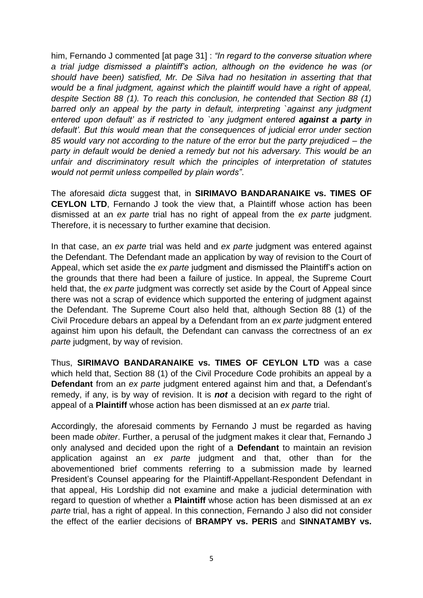him, Fernando J commented [at page 31] : *"In regard to the converse situation where a trial judge dismissed a plaintiff's action, although on the evidence he was (or should have been) satisfied, Mr. De Silva had no hesitation in asserting that that would be a final judgment, against which the plaintiff would have a right of appeal, despite Section 88 (1). To reach this conclusion, he contended that Section 88 (1) barred only an appeal by the party in default, interpreting `against any judgment entered upon default' as if restricted to 'any judgment entered <i>against a party in default'. But this would mean that the consequences of judicial error under section 85 would vary not according to the nature of the error but the party prejudiced – the party in default would be denied a remedy but not his adversary. This would be an unfair and discriminatory result which the principles of interpretation of statutes would not permit unless compelled by plain words"*.

The aforesaid *dicta* suggest that, in **SIRIMAVO BANDARANAIKE vs. TIMES OF CEYLON LTD**, Fernando J took the view that, a Plaintiff whose action has been dismissed at an *ex parte* trial has no right of appeal from the *ex parte* judgment. Therefore, it is necessary to further examine that decision.

In that case, an *ex parte* trial was held and *ex parte* judgment was entered against the Defendant. The Defendant made an application by way of revision to the Court of Appeal, which set aside the *ex parte* judgment and dismissed the Plaintiff's action on the grounds that there had been a failure of justice. In appeal, the Supreme Court held that, the *ex parte* judgment was correctly set aside by the Court of Appeal since there was not a scrap of evidence which supported the entering of judgment against the Defendant. The Supreme Court also held that, although Section 88 (1) of the Civil Procedure debars an appeal by a Defendant from an *ex parte* judgment entered against him upon his default, the Defendant can canvass the correctness of an *ex*  parte judgment, by way of revision.

Thus, **SIRIMAVO BANDARANAIKE vs. TIMES OF CEYLON LTD** was a case which held that, Section 88 (1) of the Civil Procedure Code prohibits an appeal by a **Defendant** from an *ex parte* judgment entered against him and that, a Defendant's remedy, if any, is by way of revision. It is *not* a decision with regard to the right of appeal of a **Plaintiff** whose action has been dismissed at an *ex parte* trial.

Accordingly, the aforesaid comments by Fernando J must be regarded as having been made *obiter*. Further, a perusal of the judgment makes it clear that, Fernando J only analysed and decided upon the right of a **Defendant** to maintain an revision application against an *ex parte* judgment and that, other than for the abovementioned brief comments referring to a submission made by learned President's Counsel appearing for the Plaintiff-Appellant-Respondent Defendant in that appeal, His Lordship did not examine and make a judicial determination with regard to question of whether a **Plaintiff** whose action has been dismissed at an *ex parte* trial, has a right of appeal. In this connection, Fernando J also did not consider the effect of the earlier decisions of **BRAMPY vs. PERIS** and **SINNATAMBY vs.**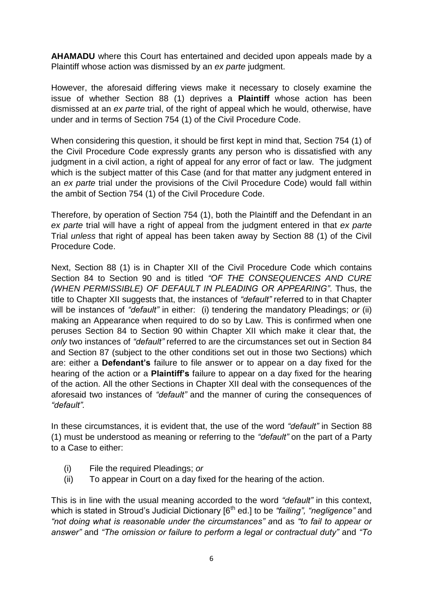**AHAMADU** where this Court has entertained and decided upon appeals made by a Plaintiff whose action was dismissed by an *ex parte* judgment.

However, the aforesaid differing views make it necessary to closely examine the issue of whether Section 88 (1) deprives a **Plaintiff** whose action has been dismissed at an *ex parte* trial, of the right of appeal which he would, otherwise, have under and in terms of Section 754 (1) of the Civil Procedure Code.

When considering this question, it should be first kept in mind that, Section 754 (1) of the Civil Procedure Code expressly grants any person who is dissatisfied with any judgment in a civil action, a right of appeal for any error of fact or law. The judgment which is the subject matter of this Case (and for that matter any judgment entered in an *ex parte* trial under the provisions of the Civil Procedure Code) would fall within the ambit of Section 754 (1) of the Civil Procedure Code.

Therefore, by operation of Section 754 (1), both the Plaintiff and the Defendant in an *ex parte* trial will have a right of appeal from the judgment entered in that *ex parte* Trial *unless* that right of appeal has been taken away by Section 88 (1) of the Civil Procedure Code.

Next, Section 88 (1) is in Chapter XII of the Civil Procedure Code which contains Section 84 to Section 90 and is titled *"OF THE CONSEQUENCES AND CURE (WHEN PERMISSIBLE) OF DEFAULT IN PLEADING OR APPEARING"*. Thus, the title to Chapter XII suggests that, the instances of *"default"* referred to in that Chapter will be instances of *"default"* in either: (i) tendering the mandatory Pleadings; *or* (ii) making an Appearance when required to do so by Law. This is confirmed when one peruses Section 84 to Section 90 within Chapter XII which make it clear that, the *only* two instances of *"default"* referred to are the circumstances set out in Section 84 and Section 87 (subject to the other conditions set out in those two Sections) which are: either a **Defendant"s** failure to file answer or to appear on a day fixed for the hearing of the action or a **Plaintiff"s** failure to appear on a day fixed for the hearing of the action. All the other Sections in Chapter XII deal with the consequences of the aforesaid two instances of *"default"* and the manner of curing the consequences of *"default".*

In these circumstances, it is evident that, the use of the word *"default"* in Section 88 (1) must be understood as meaning or referring to the *"default"* on the part of a Party to a Case to either:

- (i) File the required Pleadings; *or*
- (ii) To appear in Court on a day fixed for the hearing of the action.

This is in line with the usual meaning accorded to the word *"default"* in this context, which is stated in Stroud's Judicial Dictionary [6<sup>th</sup> ed.] to be *"failing", "negligence"* and *"not doing what is reasonable under the circumstances" a*nd as *"to fail to appear or answer"* and *"The omission or failure to perform a legal or contractual duty"* and *"To*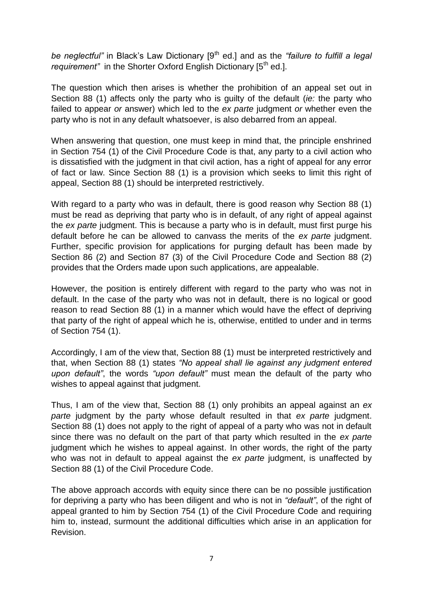be neglectful" in Black's Law Dictionary [9<sup>th</sup> ed.] and as the "failure to fulfill a legal *requirement*" in the Shorter Oxford English Dictionary [5<sup>th</sup> ed.].

The question which then arises is whether the prohibition of an appeal set out in Section 88 (1) affects only the party who is guilty of the default (*ie:* the party who failed to appear *or* answer) which led to the *ex parte* judgment *or* whether even the party who is not in any default whatsoever, is also debarred from an appeal.

When answering that question, one must keep in mind that, the principle enshrined in Section 754 (1) of the Civil Procedure Code is that, any party to a civil action who is dissatisfied with the judgment in that civil action, has a right of appeal for any error of fact or law. Since Section 88 (1) is a provision which seeks to limit this right of appeal, Section 88 (1) should be interpreted restrictively.

With regard to a party who was in default, there is good reason why Section 88 (1) must be read as depriving that party who is in default, of any right of appeal against the *ex parte* judgment. This is because a party who is in default, must first purge his default before he can be allowed to canvass the merits of the *ex parte* judgment. Further, specific provision for applications for purging default has been made by Section 86 (2) and Section 87 (3) of the Civil Procedure Code and Section 88 (2) provides that the Orders made upon such applications, are appealable.

However, the position is entirely different with regard to the party who was not in default. In the case of the party who was not in default, there is no logical or good reason to read Section 88 (1) in a manner which would have the effect of depriving that party of the right of appeal which he is, otherwise, entitled to under and in terms of Section 754 (1).

Accordingly, I am of the view that, Section 88 (1) must be interpreted restrictively and that, when Section 88 (1) states *"No appeal shall lie against any judgment entered upon default"*, the words *"upon default"* must mean the default of the party who wishes to appeal against that judgment.

Thus, I am of the view that, Section 88 (1) only prohibits an appeal against an *ex parte* judgment by the party whose default resulted in that *ex parte* judgment. Section 88 (1) does not apply to the right of appeal of a party who was not in default since there was no default on the part of that party which resulted in the *ex parte* judgment which he wishes to appeal against. In other words, the right of the party who was not in default to appeal against the *ex parte* judgment, is unaffected by Section 88 (1) of the Civil Procedure Code.

The above approach accords with equity since there can be no possible justification for depriving a party who has been diligent and who is not in *"default"*, of the right of appeal granted to him by Section 754 (1) of the Civil Procedure Code and requiring him to, instead, surmount the additional difficulties which arise in an application for Revision.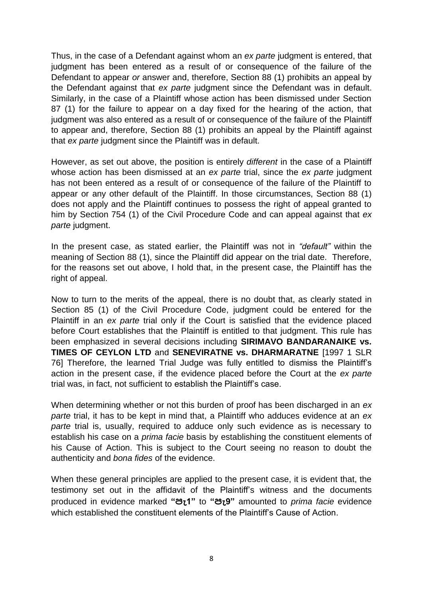Thus, in the case of a Defendant against whom an *ex parte* judgment is entered, that judgment has been entered as a result of or consequence of the failure of the Defendant to appear *or* answer and, therefore, Section 88 (1) prohibits an appeal by the Defendant against that *ex parte* judgment since the Defendant was in default. Similarly, in the case of a Plaintiff whose action has been dismissed under Section 87 (1) for the failure to appear on a day fixed for the hearing of the action, that judgment was also entered as a result of or consequence of the failure of the Plaintiff to appear and, therefore, Section 88 (1) prohibits an appeal by the Plaintiff against that *ex parte* judgment since the Plaintiff was in default.

However, as set out above, the position is entirely *different* in the case of a Plaintiff whose action has been dismissed at an *ex parte* trial, since the *ex parte* judgment has not been entered as a result of or consequence of the failure of the Plaintiff to appear or any other default of the Plaintiff. In those circumstances, Section 88 (1) does not apply and the Plaintiff continues to possess the right of appeal granted to him by Section 754 (1) of the Civil Procedure Code and can appeal against that *ex parte* judgment.

In the present case, as stated earlier, the Plaintiff was not in *"default"* within the meaning of Section 88 (1), since the Plaintiff did appear on the trial date. Therefore, for the reasons set out above, I hold that, in the present case, the Plaintiff has the right of appeal.

Now to turn to the merits of the appeal, there is no doubt that, as clearly stated in Section 85 (1) of the Civil Procedure Code, judgment could be entered for the Plaintiff in an *ex parte* trial only if the Court is satisfied that the evidence placed before Court establishes that the Plaintiff is entitled to that judgment. This rule has been emphasized in several decisions including **SIRIMAVO BANDARANAIKE vs. TIMES OF CEYLON LTD** and **SENEVIRATNE vs. DHARMARATNE** [1997 1 SLR 76] Therefore, the learned Trial Judge was fully entitled to dismiss the Plaintiff's action in the present case, if the evidence placed before the Court at the *ex parte* trial was, in fact, not sufficient to establish the Plaintiff's case.

When determining whether or not this burden of proof has been discharged in an *ex parte* trial, it has to be kept in mind that, a Plaintiff who adduces evidence at an *ex parte* trial is, usually, required to adduce only such evidence as is necessary to establish his case on a *prima facie* basis by establishing the constituent elements of his Cause of Action. This is subject to the Court seeing no reason to doubt the authenticity and *bona fides* of the evidence.

When these general principles are applied to the present case, it is evident that, the testimony set out in the affidavit of the Plaintiff's witness and the documents produced in evidence marked **"පැ1"** to **"පැ9"** amounted to *prima facie* evidence which established the constituent elements of the Plaintiff's Cause of Action.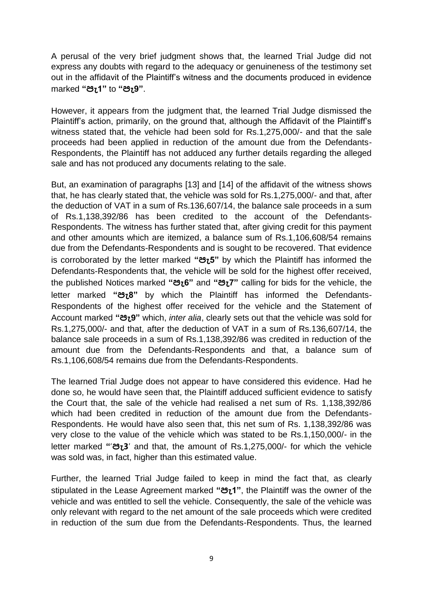A perusal of the very brief judgment shows that, the learned Trial Judge did not express any doubts with regard to the adequacy or genuineness of the testimony set out in the affidavit of the Plaintiff's witness and the documents produced in evidence marked **"පැ1"** to **"පැ9"**.

However, it appears from the judgment that, the learned Trial Judge dismissed the Plaintiff's action, primarily, on the ground that, although the Affidavit of the Plaintiff's witness stated that, the vehicle had been sold for Rs.1,275,000/- and that the sale proceeds had been applied in reduction of the amount due from the Defendants-Respondents, the Plaintiff has not adduced any further details regarding the alleged sale and has not produced any documents relating to the sale.

But, an examination of paragraphs [13] and [14] of the affidavit of the witness shows that, he has clearly stated that, the vehicle was sold for Rs.1,275,000/- and that, after the deduction of VAT in a sum of Rs.136,607/14, the balance sale proceeds in a sum of Rs.1,138,392/86 has been credited to the account of the Defendants-Respondents. The witness has further stated that, after giving credit for this payment and other amounts which are itemized, a balance sum of Rs.1,106,608/54 remains due from the Defendants-Respondents and is sought to be recovered. That evidence is corroborated by the letter marked **"පැ5"** by which the Plaintiff has informed the Defendants-Respondents that, the vehicle will be sold for the highest offer received, the published Notices marked **"පැ6"** and **"පැ7"** calling for bids for the vehicle, the letter marked **"පැ8"** by which the Plaintiff has informed the Defendants-Respondents of the highest offer received for the vehicle and the Statement of Account marked **"පැ9"** which, *inter alia*, clearly sets out that the vehicle was sold for Rs.1,275,000/- and that, after the deduction of VAT in a sum of Rs.136,607/14, the balance sale proceeds in a sum of Rs.1,138,392/86 was credited in reduction of the amount due from the Defendants-Respondents and that, a balance sum of Rs.1,106,608/54 remains due from the Defendants-Respondents.

The learned Trial Judge does not appear to have considered this evidence. Had he done so, he would have seen that, the Plaintiff adduced sufficient evidence to satisfy the Court that, the sale of the vehicle had realised a net sum of Rs. 1,138,392/86 which had been credited in reduction of the amount due from the Defendants-Respondents. He would have also seen that, this net sum of Rs. 1,138,392/86 was very close to the value of the vehicle which was stated to be Rs.1,150,000/- in the letter marked **"**'**පැ3**' and that, the amount of Rs.1,275,000/- for which the vehicle was sold was, in fact, higher than this estimated value.

Further, the learned Trial Judge failed to keep in mind the fact that, as clearly stipulated in the Lease Agreement marked **"පැ1"**, the Plaintiff was the owner of the vehicle and was entitled to sell the vehicle. Consequently, the sale of the vehicle was only relevant with regard to the net amount of the sale proceeds which were credited in reduction of the sum due from the Defendants-Respondents. Thus, the learned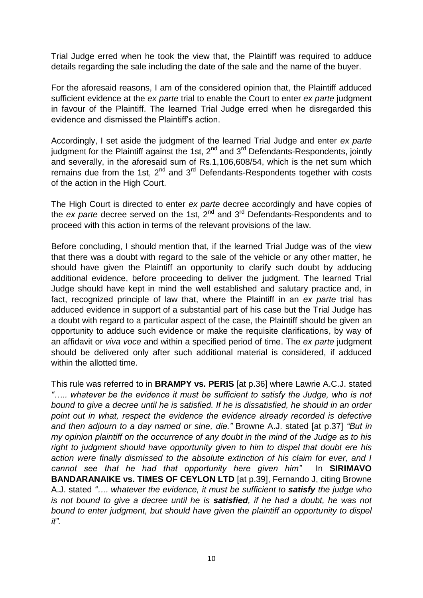Trial Judge erred when he took the view that, the Plaintiff was required to adduce details regarding the sale including the date of the sale and the name of the buyer.

For the aforesaid reasons, I am of the considered opinion that, the Plaintiff adduced sufficient evidence at the *ex parte* trial to enable the Court to enter *ex parte* judgment in favour of the Plaintiff. The learned Trial Judge erred when he disregarded this evidence and dismissed the Plaintiff's action.

Accordingly, I set aside the judgment of the learned Trial Judge and enter *ex parte*  judgment for the Plaintiff against the 1st, 2<sup>nd</sup> and 3<sup>rd</sup> Defendants-Respondents, jointly and severally, in the aforesaid sum of Rs.1,106,608/54, which is the net sum which remains due from the 1st,  $2^{nd}$  and  $3^{rd}$  Defendants-Respondents together with costs of the action in the High Court.

The High Court is directed to enter *ex parte* decree accordingly and have copies of the *ex parte* decree served on the 1st, 2nd and 3rd Defendants-Respondents and to proceed with this action in terms of the relevant provisions of the law.

Before concluding, I should mention that, if the learned Trial Judge was of the view that there was a doubt with regard to the sale of the vehicle or any other matter, he should have given the Plaintiff an opportunity to clarify such doubt by adducing additional evidence, before proceeding to deliver the judgment. The learned Trial Judge should have kept in mind the well established and salutary practice and, in fact, recognized principle of law that, where the Plaintiff in an *ex parte* trial has adduced evidence in support of a substantial part of his case but the Trial Judge has a doubt with regard to a particular aspect of the case, the Plaintiff should be given an opportunity to adduce such evidence or make the requisite clarifications, by way of an affidavit or *viva voce* and within a specified period of time. The *ex parte* judgment should be delivered only after such additional material is considered, if adduced within the allotted time.

This rule was referred to in **BRAMPY vs. PERIS** [at p.36] where Lawrie A.C.J. stated *"….. whatever be the evidence it must be sufficient to satisfy the Judge, who is not bound to give a decree until he is satisfied. If he is dissatisfied, he should in an order point out in what, respect the evidence the evidence already recorded is defective and then adjourn to a day named or sine, die."* Browne A.J. stated [at p.37] *"But in my opinion plaintiff on the occurrence of any doubt in the mind of the Judge as to his right to judgment should have opportunity given to him to dispel that doubt ere his action were finally dismissed to the absolute extinction of his claim for ever, and I cannot see that he had that opportunity here given him"* In **SIRIMAVO BANDARANAIKE vs. TIMES OF CEYLON LTD** [at p.39], Fernando J, citing Browne A.J. stated *"…. whatever the evidence, it must be sufficient to satisfy the judge who is not bound to give a decree until he is satisfied, if he had a doubt, he was not bound to enter judgment, but should have given the plaintiff an opportunity to dispel it"*.